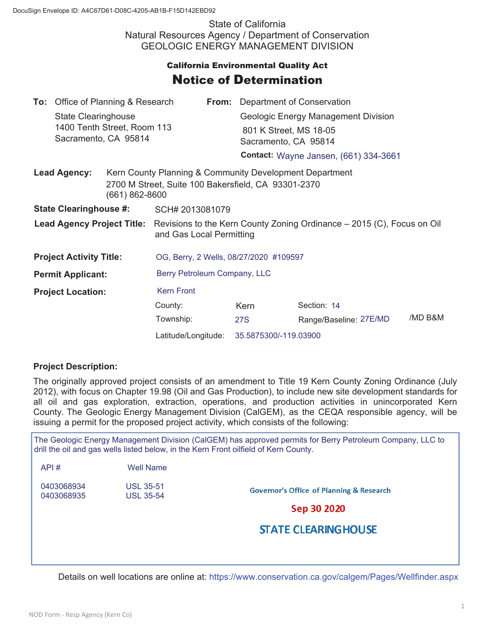State of California Natural Resources Agency / Department of Conservation GEOLOGIC ENERGY MANAGEMENT DIVISION

## **California Environmental Quality Act** Notice of Determination

|                                                     | <b>To:</b> Office of Planning & Research |                                                                                                                                      |                                        |  | <b>From:</b> Department of Conservation<br>Geologic Energy Management Division |                        |                                                                                                                |                                              |
|-----------------------------------------------------|------------------------------------------|--------------------------------------------------------------------------------------------------------------------------------------|----------------------------------------|--|--------------------------------------------------------------------------------|------------------------|----------------------------------------------------------------------------------------------------------------|----------------------------------------------|
|                                                     | State Clearinghouse                      |                                                                                                                                      |                                        |  |                                                                                |                        |                                                                                                                |                                              |
| 1400 Tenth Street, Room 113<br>Sacramento, CA 95814 |                                          |                                                                                                                                      |                                        |  | 801 K Street, MS 18-05<br>Sacramento, CA 95814                                 |                        |                                                                                                                |                                              |
|                                                     |                                          |                                                                                                                                      |                                        |  |                                                                                |                        |                                                                                                                | <b>Contact: Wayne Jansen, (661) 334-3661</b> |
|                                                     |                                          |                                                                                                                                      |                                        |  | <b>Lead Agency:</b><br>(661) 862-8600                                          |                        | Kern County Planning & Community Development Department<br>2700 M Street, Suite 100 Bakersfield, CA 93301-2370 |                                              |
| <b>State Clearinghouse #:</b>                       |                                          | SCH# 2013081079                                                                                                                      |                                        |  |                                                                                |                        |                                                                                                                |                                              |
|                                                     |                                          | <b>Lead Agency Project Title:</b> Revisions to the Kern County Zoning Ordinance – 2015 (C), Focus on Oil<br>and Gas Local Permitting |                                        |  |                                                                                |                        |                                                                                                                |                                              |
| <b>Project Activity Title:</b>                      |                                          |                                                                                                                                      | OG, Berry, 2 Wells, 08/27/2020 #109597 |  |                                                                                |                        |                                                                                                                |                                              |
| <b>Permit Applicant:</b>                            |                                          |                                                                                                                                      | Berry Petroleum Company, LLC           |  |                                                                                |                        |                                                                                                                |                                              |
| <b>Project Location:</b>                            |                                          | <b>Kern Front</b>                                                                                                                    |                                        |  |                                                                                |                        |                                                                                                                |                                              |
|                                                     |                                          |                                                                                                                                      | County:                                |  | Kern                                                                           | Section: 14            |                                                                                                                |                                              |
|                                                     |                                          |                                                                                                                                      | Township:                              |  | 27S                                                                            | Range/Baseline: 27E/MD | /MD B&M                                                                                                        |                                              |
|                                                     |                                          |                                                                                                                                      | Latitude/Longitude:                    |  | 35.5875300/-119.03900                                                          |                        |                                                                                                                |                                              |

## **Project Description:**

 $ADI$   $\mu$   $Mell$ 

The originally approved project consists of an amendment to Title 19 Kern County Zoning Ordinance (July 2012), with focus on Chapter 19.98 (Oil and Gas Production), to include new site development standards for all oil and gas exploration, extraction, operations, and production activities in unincorporated Kern County. The Geologic Energy Management Division (CalGEM), as the CEQA responsible agency, will be issuing a permit for the proposed project activity, which consists of the following:

The Geologic Energy Management Division (CalGEM) has approved permits for Berry Petroleum Company, LLC to drill the oil and gas wells listed below, in the Kern Front oilfield of Kern County.

| <b>Governor's Office of Planning &amp; Research</b> |                                                           |
|-----------------------------------------------------|-----------------------------------------------------------|
| Sep 30 2020                                         |                                                           |
| <b>STATE CLEARING HOUSE</b>                         |                                                           |
|                                                     | <i>vvell</i> Name<br><b>USL 35-51</b><br><b>USL 35-54</b> |

Details on well locations are online at: https://www.conservation.ca.gov/calgem/Pages/Wellfinder.aspx